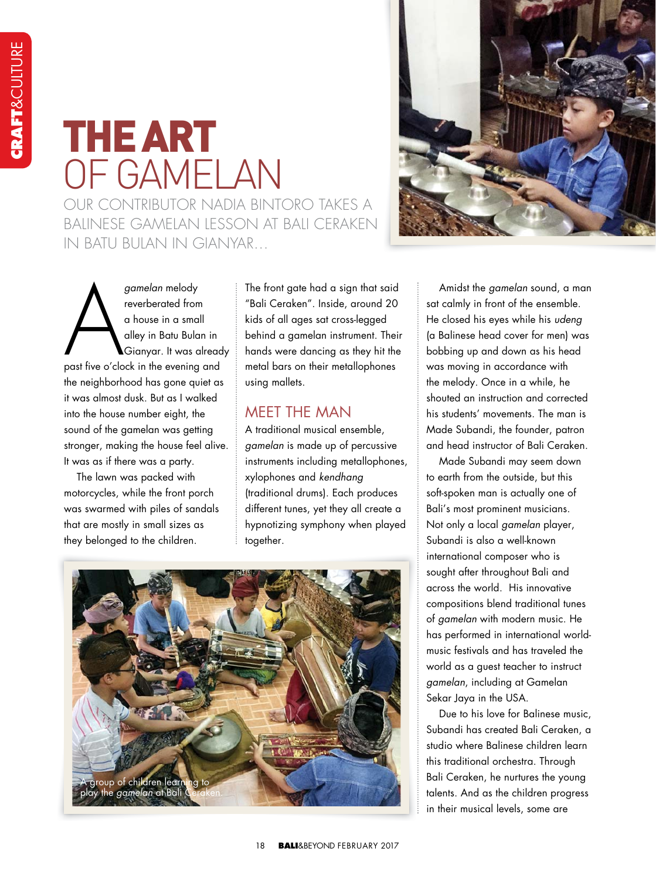## THE ART OF GAMELAN OUR CONTRIBUTOR NADIA BINTORO TAKES A BALINESE GAMELAN LESSON AT BALL CERAKEN IN BATU BULAN IN GIANYAR

gamelan melody<br>reverberated from<br>a house in a small<br>alley in Batu Bulan in<br>Gianyar. It was alread<br>past five o'clock in the evening and gamelan melody reverberated from a house in a small alley in Batu Bulan in Gianyar. It was already the neighborhood has gone quiet as it was almost dusk. But as I walked into the house number eight, the sound of the gamelan was getting stronger, making the house feel alive. It was as if there was a party.

The lawn was packed with motorcycles, while the front porch was swarmed with piles of sandals that are mostly in small sizes as they belonged to the children.

The front gate had a sign that said "Bali Ceraken". Inside, around 20 kids of all ages sat cross-legged behind a gamelan instrument. Their hands were dancing as they hit the metal bars on their metallophones using mallets.

## MEET THE MAN

A traditional musical ensemble, gamelan is made up of percussive instruments including metallophones, xylophones and kendhang (traditional drums). Each produces different tunes, yet they all create a hypnotizing symphony when played together.





Amidst the gamelan sound, a man sat calmly in front of the ensemble. He closed his eyes while his udeng (a Balinese head cover for men) was bobbing up and down as his head was moving in accordance with the melody. Once in a while, he shouted an instruction and corrected his students' movements. The man is Made Subandi, the founder, patron and head instructor of Bali Ceraken.

Made Subandi may seem down to earth from the outside, but this soft-spoken man is actually one of Bali's most prominent musicians. Not only a local gamelan player, Subandi is also a well-known international composer who is sought after throughout Bali and across the world. His innovative compositions blend traditional tunes of gamelan with modern music. He has performed in international worldmusic festivals and has traveled the world as a guest teacher to instruct gamelan, including at Gamelan Sekar Jaya in the USA.

Due to his love for Balinese music, Subandi has created Bali Ceraken, a studio where Balinese children learn this traditional orchestra. Through Bali Ceraken, he nurtures the young talents. And as the children progress in their musical levels, some are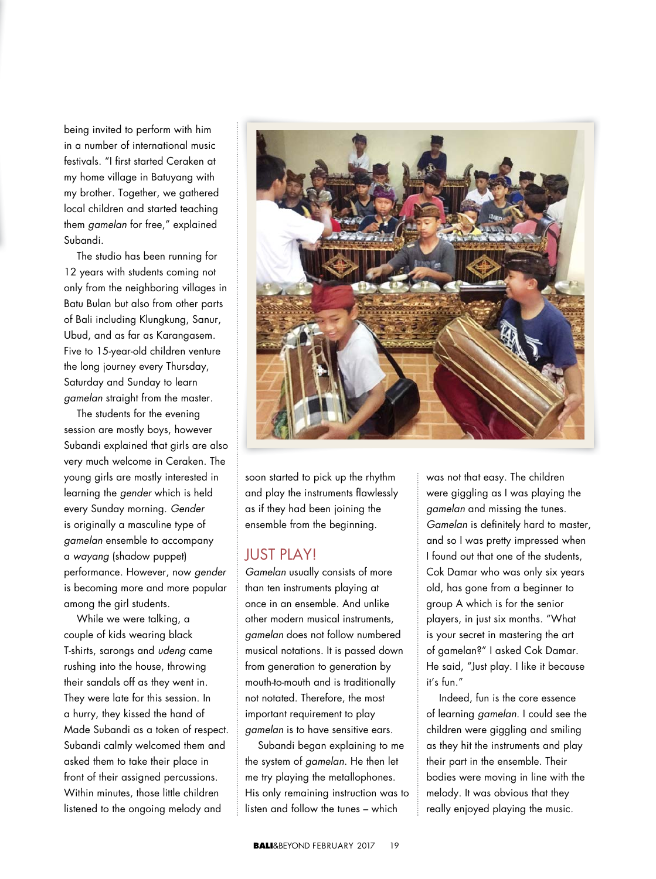being invited to perform with him in a number of international music festivals. "I first started Ceraken at my home village in Batuyang with my brother. Together, we gathered local children and started teaching them gamelan for free," explained Subandi.

The studio has been running for 12 years with students coming not only from the neighboring villages in Batu Bulan but also from other parts of Bali including Klungkung, Sanur, Ubud, and as far as Karangasem. Five to 15-year-old children venture the long journey every Thursday, Saturday and Sunday to learn gamelan straight from the master.

The students for the evening session are mostly boys, however Subandi explained that girls are also very much welcome in Ceraken. The young girls are mostly interested in learning the gender which is held every Sunday morning. Gender is originally a masculine type of gamelan ensemble to accompany a wayang (shadow puppet) performance. However, now gender is becoming more and more popular among the girl students.

While we were talking, a couple of kids wearing black T-shirts, sarongs and udeng came rushing into the house, throwing their sandals off as they went in. They were late for this session. In a hurry, they kissed the hand of Made Subandi as a token of respect. Subandi calmly welcomed them and asked them to take their place in front of their assigned percussions. Within minutes, those little children listened to the ongoing melody and



soon started to pick up the rhythm and play the instruments flawlessly as if they had been joining the ensemble from the beginning.

## JUST PLAY!

Gamelan usually consists of more than ten instruments playing at once in an ensemble. And unlike other modern musical instruments, gamelan does not follow numbered musical notations. It is passed down from generation to generation by mouth-to-mouth and is traditionally not notated. Therefore, the most important requirement to play gamelan is to have sensitive ears.

Subandi began explaining to me the system of gamelan. He then let me try playing the metallophones. His only remaining instruction was to listen and follow the tunes – which

was not that easy. The children were giggling as I was playing the gamelan and missing the tunes. Gamelan is definitely hard to master, and so I was pretty impressed when I found out that one of the students, Cok Damar who was only six years old, has gone from a beginner to group A which is for the senior players, in just six months. "What is your secret in mastering the art of gamelan?" I asked Cok Damar. He said, "Just play. I like it because it's fun."

Indeed, fun is the core essence of learning gamelan. I could see the children were giggling and smiling as they hit the instruments and play their part in the ensemble. Their bodies were moving in line with the melody. It was obvious that they really enjoyed playing the music.